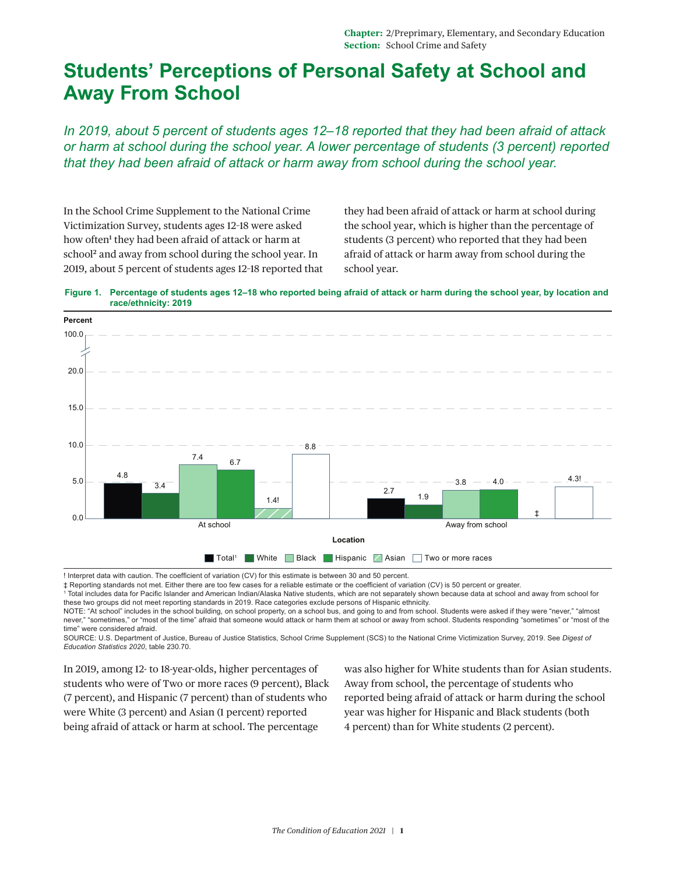## **Students' Perceptions of Personal Safety at School and Away From School**

*In 2019, about 5 percent of students ages 12–18 reported that they had been afraid of attack or harm at school during the school year. A lower percentage of students (3 percent) reported that they had been afraid of attack or harm away from school during the school year.* 

In the School Crime Supplement to the National Crime Victimization Survey, students ages 12–18 were asked how often<sup>[1](#page-2-0)</sup> they had been afraid of attack or harm at school<sup>2</sup> and away from school during the school year. In 2019, about 5 percent of students ages 12–18 reported that

they had been afraid of attack or harm at school during the school year, which is higher than the percentage of students (3 percent) who reported that they had been afraid of attack or harm away from school during the school year.





! Interpret data with caution. The coefficient of variation (CV) for this estimate is between 30 and 50 percent.

‡ Reporting standards not met. Either there are too few cases for a reliable estimate or the coefficient of variation (CV) is 50 percent or greater.<br>† Total includes data for Pacific Islander and American Indian/Alaska Nat these two groups did not meet reporting standards in 2019. Race categories exclude persons of Hispanic ethnicity.

NOTE: "At school" includes in the school building, on school property, on a school bus, and going to and from school. Students were asked if they were "never," "almost never," "sometimes," or "most of the time" afraid that someone would attack or harm them at school or away from school. Students responding "sometimes" or "most of the time" were considered afraid.

SOURCE: U.S. Department of Justice, Bureau of Justice Statistics, School Crime Supplement (SCS) to the National Crime Victimization Survey, 2019. See *Digest of Education Statistics 2020*, table 230.70.

In 2019, among 12- to 18-year-olds, higher percentages of students who were of Two or more races (9 percent), Black (7 percent), and Hispanic (7 percent) than of students who were White (3 percent) and Asian (1 percent) reported being afraid of attack or harm at school. The percentage

was also higher for White students than for Asian students. Away from school, the percentage of students who reported being afraid of attack or harm during the school year was higher for Hispanic and Black students (both 4 percent) than for White students (2 percent).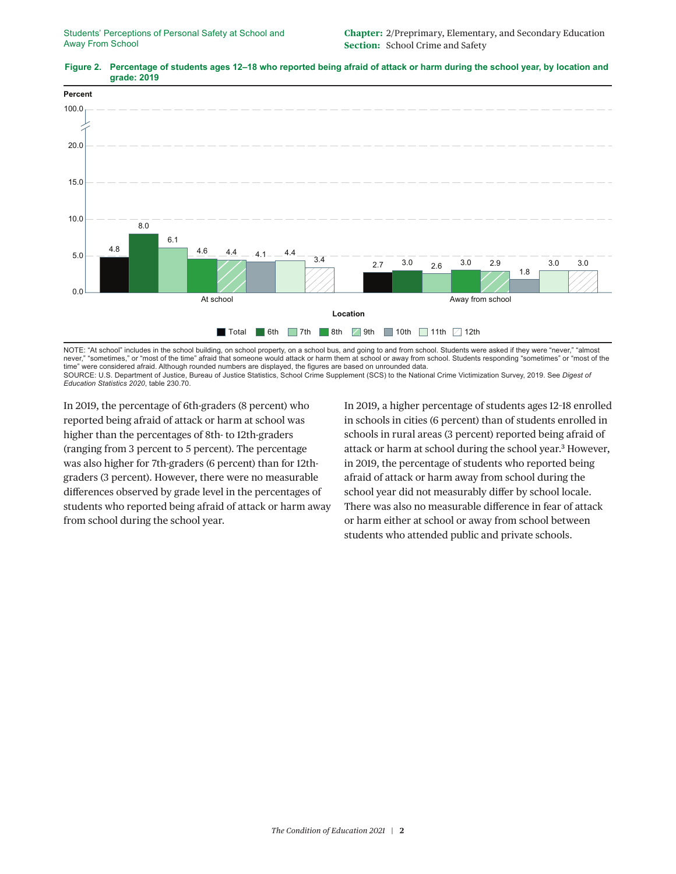

## **Figure 2. Percentage of students ages 12–18 who reported being afraid of attack or harm during the school year, by location and grade: 2019**

NOTE: "At school" includes in the school building, on school property, on a school bus, and going to and from school. Students were asked if they were "never," "almost never," "sometimes," or "most of the time" afraid that someone would attack or harm them at school or away from school. Students responding "sometimes" or "most of the time" were considered afraid. Although rounded numbers are displayed, the figures are based on unrounded data. SOURCE: U.S. Department of Justice, Bureau of Justice Statistics, School Crime Supplement (SCS) to the National Crime Victimization Survey, 2019. See *Digest of Education Statistics 2020*, table 230.70.

In 2019, the percentage of 6th-graders (8 percent) who reported being afraid of attack or harm at school was higher than the percentages of 8th- to 12th-graders (ranging from 3 percent to 5 percent). The percentage was also higher for 7th-graders (6 percent) than for 12thgraders (3 percent). However, there were no measurable differences observed by grade level in the percentages of students who reported being afraid of attack or harm away from school during the school year.

In 2019, a higher percentage of students ages 12–18 enrolled in schools in cities (6 percent) than of students enrolled in schools in rural areas (3 percent) reported being afraid of attack or harm at school during the school year.<sup>3</sup> However, in 2019, the percentage of students who reported being afraid of attack or harm away from school during the school year did not measurably differ by school locale. There was also no measurable difference in fear of attack or harm either at school or away from school between students who attended public and private schools.